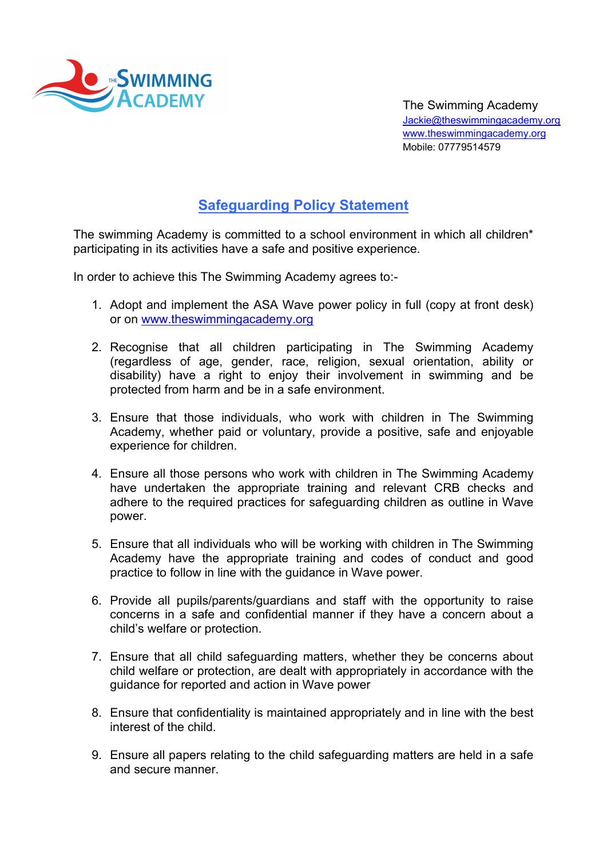

The Swimming Academy Jackie@theswimmingacademy.org www.theswimmingacademy.org Mobile: 07779514579

## Safeguarding Policy Statement

The swimming Academy is committed to a school environment in which all children\* participating in its activities have a safe and positive experience.

In order to achieve this The Swimming Academy agrees to:-

- 1. Adopt and implement the ASA Wave power policy in full (copy at front desk) or on www.theswimmingacademy.org
- 2. Recognise that all children participating in The Swimming Academy (regardless of age, gender, race, religion, sexual orientation, ability or disability) have a right to enjoy their involvement in swimming and be protected from harm and be in a safe environment.
- 3. Ensure that those individuals, who work with children in The Swimming Academy, whether paid or voluntary, provide a positive, safe and enjoyable experience for children.
- 4. Ensure all those persons who work with children in The Swimming Academy have undertaken the appropriate training and relevant CRB checks and adhere to the required practices for safeguarding children as outline in Wave power.
- 5. Ensure that all individuals who will be working with children in The Swimming Academy have the appropriate training and codes of conduct and good practice to follow in line with the guidance in Wave power.
- 6. Provide all pupils/parents/guardians and staff with the opportunity to raise concerns in a safe and confidential manner if they have a concern about a child's welfare or protection.
- 7. Ensure that all child safeguarding matters, whether they be concerns about child welfare or protection, are dealt with appropriately in accordance with the guidance for reported and action in Wave power
- 8. Ensure that confidentiality is maintained appropriately and in line with the best interest of the child.
- 9. Ensure all papers relating to the child safeguarding matters are held in a safe and secure manner.